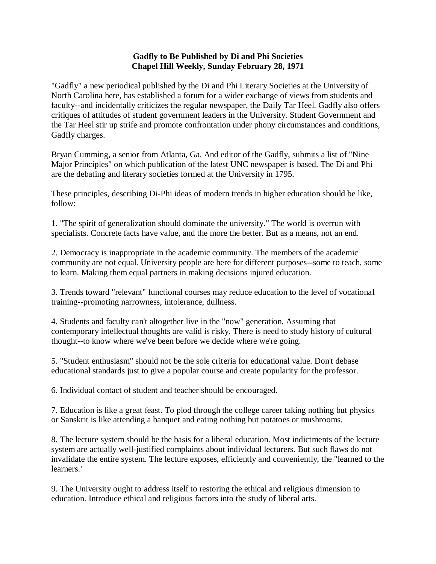## **Gadfly to Be Published by Di and Phi Societies Chapel Hill Weekly, Sunday February 28, 1971**

"Gadfly" a new periodical published by the Di and Phi Literary Societies at the University of North Carolina here, has established a forum for a wider exchange of views from students and faculty--and incidentally criticizes the regular newspaper, the Daily Tar Heel. Gadfly also offers critiques of attitudes of student government leaders in the University. Student Government and the Tar Heel stir up strife and promote confrontation under phony circumstances and conditions, Gadfly charges.

Bryan Cumming, a senior from Atlanta, Ga. And editor of the Gadfly, submits a list of "Nine Major Principles" on which publication of the latest UNC newspaper is based. The Di and Phi are the debating and literary societies formed at the University in 1795.

These principles, describing Di-Phi ideas of modern trends in higher education should be like, follow:

1. "The spirit of generalization should dominate the university." The world is overrun with specialists. Concrete facts have value, and the more the better. But as a means, not an end.

2. Democracy is inappropriate in the academic community. The members of the academic community are not equal. University people are here for different purposes--some to teach, some to learn. Making them equal partners in making decisions injured education.

3. Trends toward "relevant" functional courses may reduce education to the level of vocational training--promoting narrowness, intolerance, dullness.

4. Students and faculty can't altogether live in the "now" generation, Assuming that contemporary intellectual thoughts are valid is risky. There is need to study history of cultural thought--to know where we've been before we decide where we're going.

5. "Student enthusiasm" should not be the sole criteria for educational value. Don't debase educational standards just to give a popular course and create popularity for the professor.

6. Individual contact of student and teacher should be encouraged.

7. Education is like a great feast. To plod through the college career taking nothing but physics or Sanskrit is like attending a banquet and eating nothing but potatoes or mushrooms.

8. The lecture system should be the basis for a liberal education. Most indictments of the lecture system are actually well-justified complaints about individual lecturers. But such flaws do not invalidate the entire system. The lecture exposes, efficiently and conveniently, the "learned to the learners.'

9. The University ought to address itself to restoring the ethical and religious dimension to education. Introduce ethical and religious factors into the study of liberal arts.